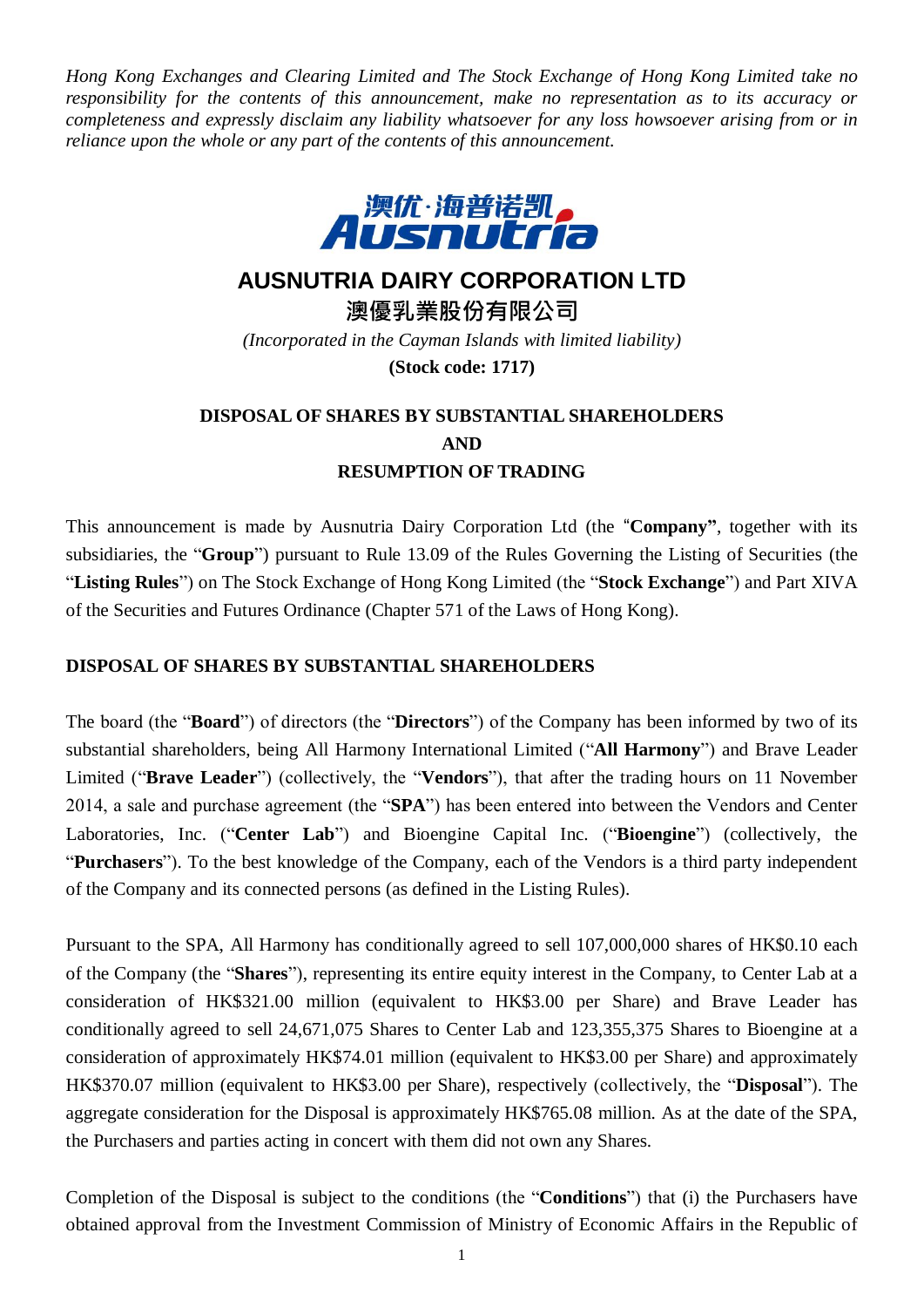*Hong Kong Exchanges and Clearing Limited and The Stock Exchange of Hong Kong Limited take no responsibility for the contents of this announcement, make no representation as to its accuracy or completeness and expressly disclaim any liability whatsoever for any loss howsoever arising from or in reliance upon the whole or any part of the contents of this announcement.*



## **AUSNUTRIA DAIRY CORPORATION LTD**

**澳優乳業股份有限公司**

*(Incorporated in the Cayman Islands with limited liability)* **(Stock code: 1717)**

# **DISPOSAL OF SHARES BY SUBSTANTIAL SHAREHOLDERS AND RESUMPTION OF TRADING**

This announcement is made by Ausnutria Dairy Corporation Ltd (the "**Company"**, together with its subsidiaries, the "**Group**") pursuant to Rule 13.09 of the Rules Governing the Listing of Securities (the "**Listing Rules**") on The Stock Exchange of Hong Kong Limited (the "**Stock Exchange**") and Part XIVA of the Securities and Futures Ordinance (Chapter 571 of the Laws of Hong Kong).

### **DISPOSAL OF SHARES BY SUBSTANTIAL SHAREHOLDERS**

The board (the "**Board**") of directors (the "**Directors**") of the Company has been informed by two of its substantial shareholders, being All Harmony International Limited ("**All Harmony**") and Brave Leader Limited ("**Brave Leader**") (collectively, the "**Vendors**"), that after the trading hours on 11 November 2014, a sale and purchase agreement (the "**SPA**") has been entered into between the Vendors and Center Laboratories, Inc. ("**Center Lab**") and Bioengine Capital Inc. ("**Bioengine**") (collectively, the "**Purchasers**"). To the best knowledge of the Company, each of the Vendors is a third party independent of the Company and its connected persons (as defined in the Listing Rules).

Pursuant to the SPA, All Harmony has conditionally agreed to sell 107,000,000 shares of HK\$0.10 each of the Company (the "**Shares**"), representing its entire equity interest in the Company, to Center Lab at a consideration of HK\$321.00 million (equivalent to HK\$3.00 per Share) and Brave Leader has conditionally agreed to sell 24,671,075 Shares to Center Lab and 123,355,375 Shares to Bioengine at a consideration of approximately HK\$74.01 million (equivalent to HK\$3.00 per Share) and approximately HK\$370.07 million (equivalent to HK\$3.00 per Share), respectively (collectively, the "**Disposal**"). The aggregate consideration for the Disposal is approximately HK\$765.08 million. As at the date of the SPA, the Purchasers and parties acting in concert with them did not own any Shares.

Completion of the Disposal is subject to the conditions (the "**Conditions**") that (i) the Purchasers have obtained approval from the Investment Commission of Ministry of Economic Affairs in the Republic of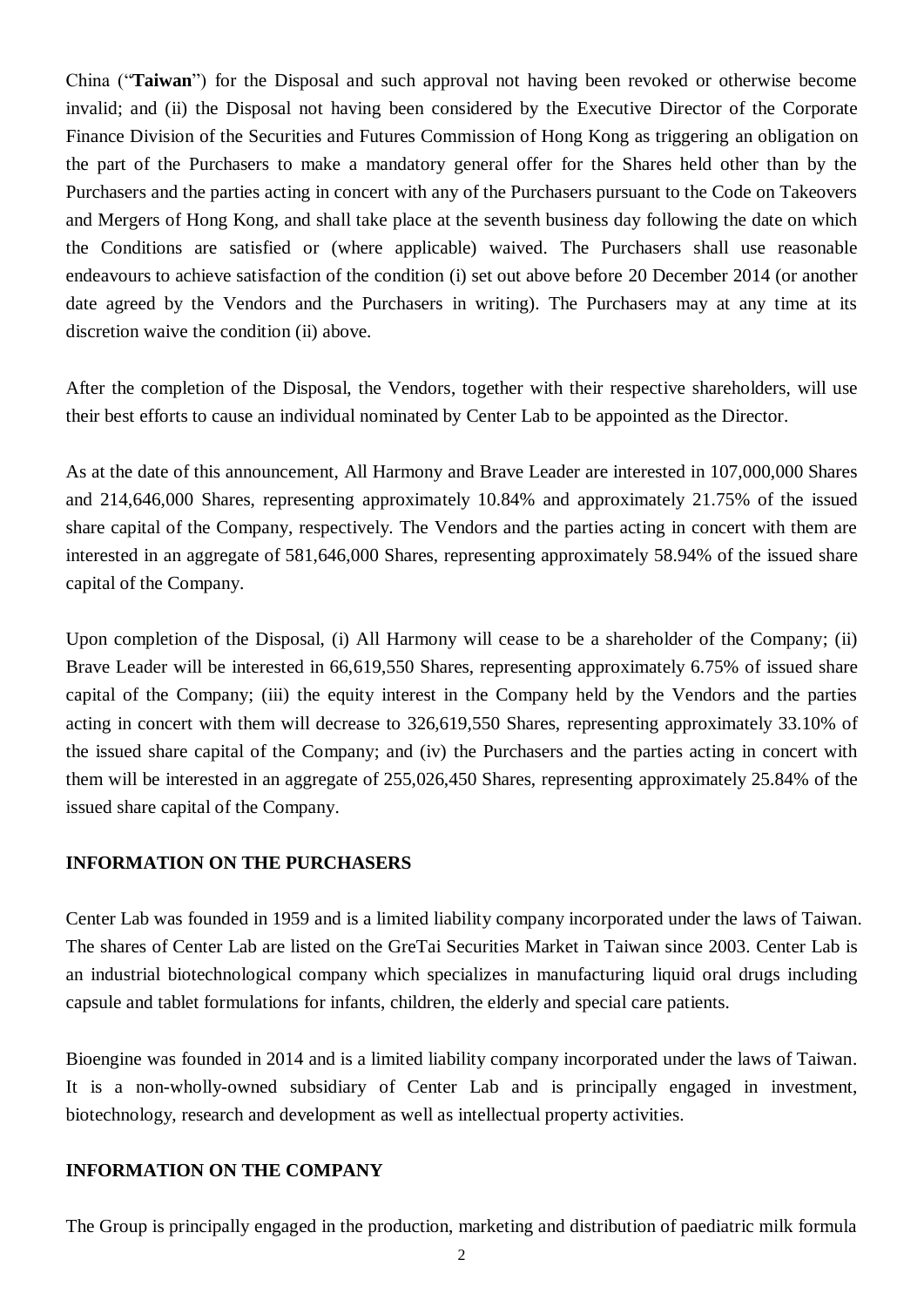China ("**Taiwan**") for the Disposal and such approval not having been revoked or otherwise become invalid; and (ii) the Disposal not having been considered by the Executive Director of the Corporate Finance Division of the Securities and Futures Commission of Hong Kong as triggering an obligation on the part of the Purchasers to make a mandatory general offer for the Shares held other than by the Purchasers and the parties acting in concert with any of the Purchasers pursuant to the Code on Takeovers and Mergers of Hong Kong, and shall take place at the seventh business day following the date on which the Conditions are satisfied or (where applicable) waived. The Purchasers shall use reasonable endeavours to achieve satisfaction of the condition (i) set out above before 20 December 2014 (or another date agreed by the Vendors and the Purchasers in writing). The Purchasers may at any time at its discretion waive the condition (ii) above.

After the completion of the Disposal, the Vendors, together with their respective shareholders, will use their best efforts to cause an individual nominated by Center Lab to be appointed as the Director.

As at the date of this announcement, All Harmony and Brave Leader are interested in 107,000,000 Shares and 214,646,000 Shares, representing approximately 10.84% and approximately 21.75% of the issued share capital of the Company, respectively. The Vendors and the parties acting in concert with them are interested in an aggregate of 581,646,000 Shares, representing approximately 58.94% of the issued share capital of the Company.

Upon completion of the Disposal, (i) All Harmony will cease to be a shareholder of the Company; (ii) Brave Leader will be interested in 66,619,550 Shares, representing approximately 6.75% of issued share capital of the Company; (iii) the equity interest in the Company held by the Vendors and the parties acting in concert with them will decrease to 326,619,550 Shares, representing approximately 33.10% of the issued share capital of the Company; and (iv) the Purchasers and the parties acting in concert with them will be interested in an aggregate of 255,026,450 Shares, representing approximately 25.84% of the issued share capital of the Company.

#### **INFORMATION ON THE PURCHASERS**

Center Lab was founded in 1959 and is a limited liability company incorporated under the laws of Taiwan. The shares of Center Lab are listed on the GreTai Securities Market in Taiwan since 2003. Center Lab is an industrial biotechnological company which specializes in manufacturing liquid oral drugs including capsule and tablet formulations for infants, children, the elderly and special care patients.

Bioengine was founded in 2014 and is a limited liability company incorporated under the laws of Taiwan. It is a non-wholly-owned subsidiary of Center Lab and is principally engaged in investment, biotechnology, research and development as well as intellectual property activities.

#### **INFORMATION ON THE COMPANY**

The Group is principally engaged in the production, marketing and distribution of paediatric milk formula